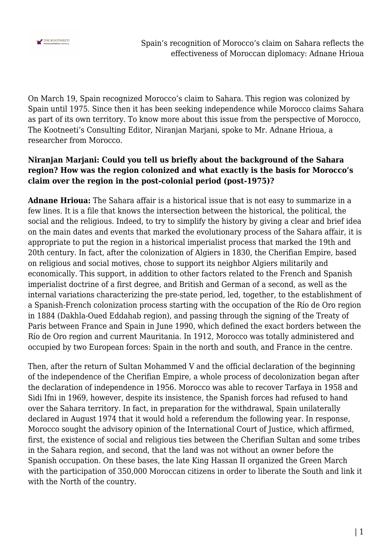

On March 19, Spain recognized Morocco's claim to Sahara. This region was colonized by Spain until 1975. Since then it has been seeking independence while Morocco claims Sahara as part of its own territory. To know more about this issue from the perspective of Morocco, The Kootneeti's Consulting Editor, Niranjan Marjani, spoke to Mr. Adnane Hrioua, a researcher from Morocco.

#### **Niranjan Marjani: Could you tell us briefly about the background of the Sahara region? How was the region colonized and what exactly is the basis for Morocco's claim over the region in the post-colonial period (post-1975)?**

**Adnane Hrioua:** The Sahara affair is a historical issue that is not easy to summarize in a few lines. It is a file that knows the intersection between the historical, the political, the social and the religious. Indeed, to try to simplify the history by giving a clear and brief idea on the main dates and events that marked the evolutionary process of the Sahara affair, it is appropriate to put the region in a historical imperialist process that marked the 19th and 20th century. In fact, after the colonization of Algiers in 1830, the Cherifian Empire, based on religious and social motives, chose to support its neighbor Algiers militarily and economically. This support, in addition to other factors related to the French and Spanish imperialist doctrine of a first degree, and British and German of a second, as well as the internal variations characterizing the pre-state period, led, together, to the establishment of a Spanish-French colonization process starting with the occupation of the Río de Oro region in 1884 (Dakhla-Oued Eddahab region), and passing through the signing of the Treaty of Paris between France and Spain in June 1990, which defined the exact borders between the Río de Oro region and current Mauritania. In 1912, Morocco was totally administered and occupied by two European forces: Spain in the north and south, and France in the centre.

Then, after the return of Sultan Mohammed V and the official declaration of the beginning of the independence of the Cherifian Empire, a whole process of decolonization began after the declaration of independence in 1956. Morocco was able to recover Tarfaya in 1958 and Sidi Ifni in 1969, however, despite its insistence, the Spanish forces had refused to hand over the Sahara territory. In fact, in preparation for the withdrawal, Spain unilaterally declared in August 1974 that it would hold a referendum the following year. In response, Morocco sought the advisory opinion of the International Court of Justice, which affirmed, first, the existence of social and religious ties between the Cherifian Sultan and some tribes in the Sahara region, and second, that the land was not without an owner before the Spanish occupation. On these bases, the late King Hassan II organized the Green March with the participation of 350,000 Moroccan citizens in order to liberate the South and link it with the North of the country.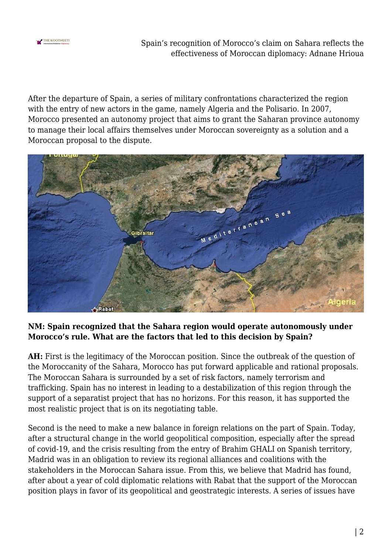

Spain's recognition of Morocco's claim on Sahara reflects the effectiveness of Moroccan diplomacy: Adnane Hrioua

After the departure of Spain, a series of military confrontations characterized the region with the entry of new actors in the game, namely Algeria and the Polisario. In 2007, Morocco presented an autonomy project that aims to grant the Saharan province autonomy to manage their local affairs themselves under Moroccan sovereignty as a solution and a Moroccan proposal to the dispute.



### **NM: Spain recognized that the Sahara region would operate autonomously under Morocco's rule. What are the factors that led to this decision by Spain?**

**AH:** First is the legitimacy of the Moroccan position. Since the outbreak of the question of the Moroccanity of the Sahara, Morocco has put forward applicable and rational proposals. The Moroccan Sahara is surrounded by a set of risk factors, namely terrorism and trafficking. Spain has no interest in leading to a destabilization of this region through the support of a separatist project that has no horizons. For this reason, it has supported the most realistic project that is on its negotiating table.

Second is the need to make a new balance in foreign relations on the part of Spain. Today, after a structural change in the world geopolitical composition, especially after the spread of covid-19, and the crisis resulting from the entry of Brahim GHALI on Spanish territory, Madrid was in an obligation to review its regional alliances and coalitions with the stakeholders in the Moroccan Sahara issue. From this, we believe that Madrid has found, after about a year of cold diplomatic relations with Rabat that the support of the Moroccan position plays in favor of its geopolitical and geostrategic interests. A series of issues have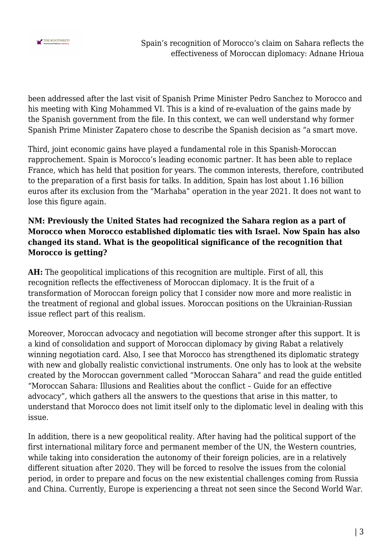

been addressed after the last visit of Spanish Prime Minister Pedro Sanchez to Morocco and his meeting with King Mohammed VI. This is a kind of re-evaluation of the gains made by the Spanish government from the file. In this context, we can well understand why former Spanish Prime Minister Zapatero chose to describe the Spanish decision as "a smart move.

Third, joint economic gains have played a fundamental role in this Spanish-Moroccan rapprochement. Spain is Morocco's leading economic partner. It has been able to replace France, which has held that position for years. The common interests, therefore, contributed to the preparation of a first basis for talks. In addition, Spain has lost about 1.16 billion euros after its exclusion from the "Marhaba" operation in the year 2021. It does not want to lose this figure again.

## **NM: Previously the United States had recognized the Sahara region as a part of Morocco when Morocco established diplomatic ties with Israel. Now Spain has also changed its stand. What is the geopolitical significance of the recognition that Morocco is getting?**

**AH:** The geopolitical implications of this recognition are multiple. First of all, this recognition reflects the effectiveness of Moroccan diplomacy. It is the fruit of a transformation of Moroccan foreign policy that I consider now more and more realistic in the treatment of regional and global issues. Moroccan positions on the Ukrainian-Russian issue reflect part of this realism.

Moreover, Moroccan advocacy and negotiation will become stronger after this support. It is a kind of consolidation and support of Moroccan diplomacy by giving Rabat a relatively winning negotiation card. Also, I see that Morocco has strengthened its diplomatic strategy with new and globally realistic convictional instruments. One only has to look at the website created by the Moroccan government called "Moroccan Sahara" and read the guide entitled "Moroccan Sahara: Illusions and Realities about the conflict – Guide for an effective advocacy", which gathers all the answers to the questions that arise in this matter, to understand that Morocco does not limit itself only to the diplomatic level in dealing with this issue.

In addition, there is a new geopolitical reality. After having had the political support of the first international military force and permanent member of the UN, the Western countries, while taking into consideration the autonomy of their foreign policies, are in a relatively different situation after 2020. They will be forced to resolve the issues from the colonial period, in order to prepare and focus on the new existential challenges coming from Russia and China. Currently, Europe is experiencing a threat not seen since the Second World War.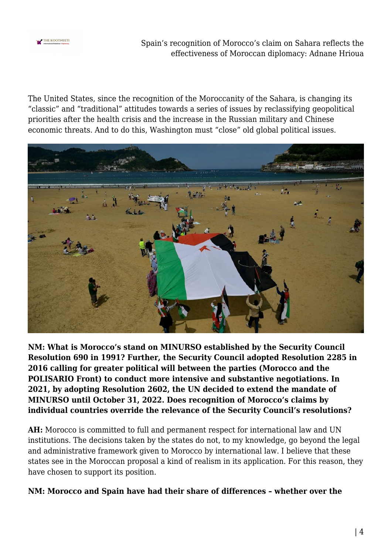

Spain's recognition of Morocco's claim on Sahara reflects the effectiveness of Moroccan diplomacy: Adnane Hrioua

The United States, since the recognition of the Moroccanity of the Sahara, is changing its "classic" and "traditional" attitudes towards a series of issues by reclassifying geopolitical priorities after the health crisis and the increase in the Russian military and Chinese economic threats. And to do this, Washington must "close" old global political issues.



**NM: What is Morocco's stand on MINURSO established by the Security Council Resolution 690 in 1991? Further, the Security Council adopted Resolution 2285 in 2016 calling for greater political will between the parties (Morocco and the POLISARIO Front) to conduct more intensive and substantive negotiations. In 2021, by adopting Resolution 2602, the UN decided to extend the mandate of MINURSO until October 31, 2022. Does recognition of Morocco's claims by individual countries override the relevance of the Security Council's resolutions?**

**AH:** Morocco is committed to full and permanent respect for international law and UN institutions. The decisions taken by the states do not, to my knowledge, go beyond the legal and administrative framework given to Morocco by international law. I believe that these states see in the Moroccan proposal a kind of realism in its application. For this reason, they have chosen to support its position.

#### **NM: Morocco and Spain have had their share of differences – whether over the**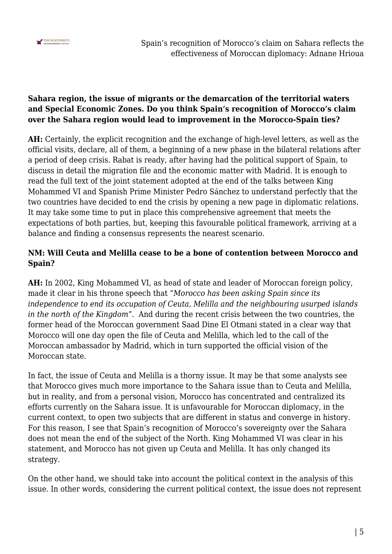

### **Sahara region, the issue of migrants or the demarcation of the territorial waters and Special Economic Zones. Do you think Spain's recognition of Morocco's claim over the Sahara region would lead to improvement in the Morocco-Spain ties?**

**AH:** Certainly, the explicit recognition and the exchange of high-level letters, as well as the official visits, declare, all of them, a beginning of a new phase in the bilateral relations after a period of deep crisis. Rabat is ready, after having had the political support of Spain, to discuss in detail the migration file and the economic matter with Madrid. It is enough to read the full text of the joint statement adopted at the end of the talks between King Mohammed VI and Spanish Prime Minister Pedro Sánchez to understand perfectly that the two countries have decided to end the crisis by opening a new page in diplomatic relations. It may take some time to put in place this comprehensive agreement that meets the expectations of both parties, but, keeping this favourable political framework, arriving at a balance and finding a consensus represents the nearest scenario.

## **NM: Will Ceuta and Melilla cease to be a bone of contention between Morocco and Spain?**

**AH:** In 2002, King Mohammed VI, as head of state and leader of Moroccan foreign policy, made it clear in his throne speech that "*Morocco has been asking Spain since its independence to end its occupation of Ceuta, Melilla and the neighbouring usurped islands in the north of the Kingdom*". And during the recent crisis between the two countries, the former head of the Moroccan government Saad Dine El Otmani stated in a clear way that Morocco will one day open the file of Ceuta and Melilla, which led to the call of the Moroccan ambassador by Madrid, which in turn supported the official vision of the Moroccan state.

In fact, the issue of Ceuta and Melilla is a thorny issue. It may be that some analysts see that Morocco gives much more importance to the Sahara issue than to Ceuta and Melilla, but in reality, and from a personal vision, Morocco has concentrated and centralized its efforts currently on the Sahara issue. It is unfavourable for Moroccan diplomacy, in the current context, to open two subjects that are different in status and converge in history. For this reason, I see that Spain's recognition of Morocco's sovereignty over the Sahara does not mean the end of the subject of the North. King Mohammed VI was clear in his statement, and Morocco has not given up Ceuta and Melilla. It has only changed its strategy.

On the other hand, we should take into account the political context in the analysis of this issue. In other words, considering the current political context, the issue does not represent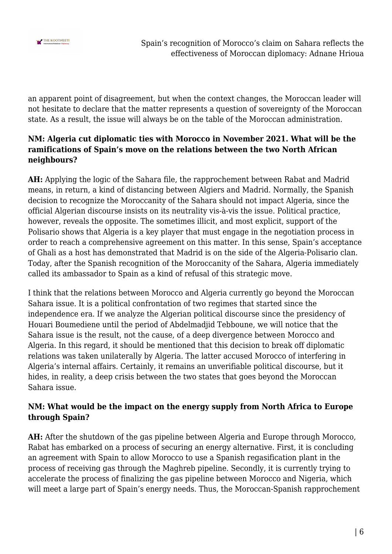

an apparent point of disagreement, but when the context changes, the Moroccan leader will not hesitate to declare that the matter represents a question of sovereignty of the Moroccan state. As a result, the issue will always be on the table of the Moroccan administration.

## **NM: Algeria cut diplomatic ties with Morocco in November 2021. What will be the ramifications of Spain's move on the relations between the two North African neighbours?**

**AH:** Applying the logic of the Sahara file, the rapprochement between Rabat and Madrid means, in return, a kind of distancing between Algiers and Madrid. Normally, the Spanish decision to recognize the Moroccanity of the Sahara should not impact Algeria, since the official Algerian discourse insists on its neutrality vis-à-vis the issue. Political practice, however, reveals the opposite. The sometimes illicit, and most explicit, support of the Polisario shows that Algeria is a key player that must engage in the negotiation process in order to reach a comprehensive agreement on this matter. In this sense, Spain's acceptance of Ghali as a host has demonstrated that Madrid is on the side of the Algeria-Polisario clan. Today, after the Spanish recognition of the Moroccanity of the Sahara, Algeria immediately called its ambassador to Spain as a kind of refusal of this strategic move.

I think that the relations between Morocco and Algeria currently go beyond the Moroccan Sahara issue. It is a political confrontation of two regimes that started since the independence era. If we analyze the Algerian political discourse since the presidency of Houari Boumediene until the period of Abdelmadjid Tebboune, we will notice that the Sahara issue is the result, not the cause, of a deep divergence between Morocco and Algeria. In this regard, it should be mentioned that this decision to break off diplomatic relations was taken unilaterally by Algeria. The latter accused Morocco of interfering in Algeria's internal affairs. Certainly, it remains an unverifiable political discourse, but it hides, in reality, a deep crisis between the two states that goes beyond the Moroccan Sahara issue.

# **NM: What would be the impact on the energy supply from North Africa to Europe through Spain?**

**AH:** After the shutdown of the gas pipeline between Algeria and Europe through Morocco, Rabat has embarked on a process of securing an energy alternative. First, it is concluding an agreement with Spain to allow Morocco to use a Spanish regasification plant in the process of receiving gas through the Maghreb pipeline. Secondly, it is currently trying to accelerate the process of finalizing the gas pipeline between Morocco and Nigeria, which will meet a large part of Spain's energy needs. Thus, the Moroccan-Spanish rapprochement